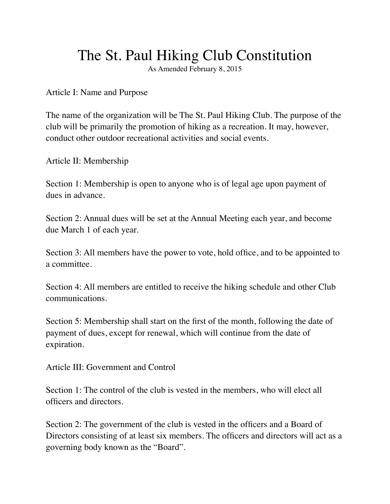## The St. Paul Hiking Club Constitution

As Amended February 8, 2015

Article I: Name and Purpose

The name of the organization will be The St. Paul Hiking Club. The purpose of the club will be primarily the promotion of hiking as a recreation. It may, however, conduct other outdoor recreational activities and social events.

Article II: Membership

Section 1: Membership is open to anyone who is of legal age upon payment of dues in advance.

Section 2: Annual dues will be set at the Annual Meeting each year, and become due March 1 of each year.

Section 3: All members have the power to vote, hold office, and to be appointed to a committee.

Section 4: All members are entitled to receive the hiking schedule and other Club communications.

Section 5: Membership shall start on the first of the month, following the date of payment of dues, except for renewal, which will continue from the date of expiration.

Article III: Government and Control

Section 1: The control of the club is vested in the members, who will elect all officers and directors.

Section 2: The government of the club is vested in the officers and a Board of Directors consisting of at least six members. The officers and directors will act as a governing body known as the "Board".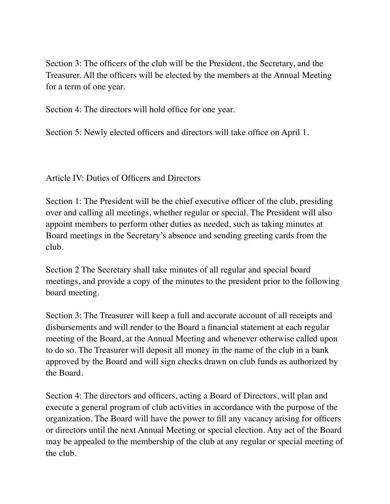Section 3: The officers of the club will be the President, the Secretary, and the Treasurer. All the officers will be elected by the members at the Annual Meeting for a term of one year.

Section 4: The directors will hold office for one year.

Section 5: Newly elected officers and directors will take office on April 1.

Article IV: Duties of Officers and Directors

Section 1: The President will be the chief executive officer of the club, presiding over and calling all meetings, whether regular or special. The President will also appoint members to perform other duties as needed, such as taking minutes at Board meetings in the Secretary's absence and sending greeting cards from the club.

Section 2 The Secretary shall take minutes of all regular and special board meetings, and provide a copy of the minutes to the president prior to the following board meeting.

Section 3: The Treasurer will keep a full and accurate account of all receipts and disbursements and will render to the Board a financial statement at each regular meeting of the Board, at the Annual Meeting and whenever otherwise called upon to do so. The Treasurer will deposit all money in the name of the club in a bank approved by the Board and will sign checks drawn on club funds as authorized by the Board.

Section 4: The directors and officers, acting a Board of Directors, will plan and execute a general program of club activities in accordance with the purpose of the organization. The Board will have the power to fill any vacancy arising for officers or directors until the next Annual Meeting or special election. Any act of the Board may be appealed to the membership of the club at any regular or special meeting of the club.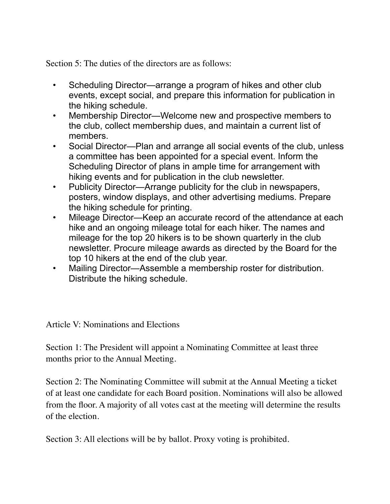Section 5: The duties of the directors are as follows:

- Scheduling Director—arrange a program of hikes and other club events, except social, and prepare this information for publication in the hiking schedule.
- Membership Director—Welcome new and prospective members to the club, collect membership dues, and maintain a current list of members.
- Social Director—Plan and arrange all social events of the club, unless a committee has been appointed for a special event. Inform the Scheduling Director of plans in ample time for arrangement with hiking events and for publication in the club newsletter.
- Publicity Director—Arrange publicity for the club in newspapers, posters, window displays, and other advertising mediums. Prepare the hiking schedule for printing.
- Mileage Director—Keep an accurate record of the attendance at each hike and an ongoing mileage total for each hiker. The names and mileage for the top 20 hikers is to be shown quarterly in the club newsletter. Procure mileage awards as directed by the Board for the top 10 hikers at the end of the club year.
- Mailing Director—Assemble a membership roster for distribution. Distribute the hiking schedule.

Article V: Nominations and Elections

Section 1: The President will appoint a Nominating Committee at least three months prior to the Annual Meeting.

Section 2: The Nominating Committee will submit at the Annual Meeting a ticket of at least one candidate for each Board position. Nominations will also be allowed from the floor. A majority of all votes cast at the meeting will determine the results of the election.

Section 3: All elections will be by ballot. Proxy voting is prohibited.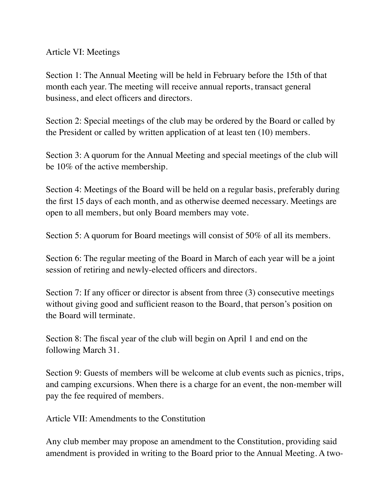Article VI: Meetings

Section 1: The Annual Meeting will be held in February before the 15th of that month each year. The meeting will receive annual reports, transact general business, and elect officers and directors.

Section 2: Special meetings of the club may be ordered by the Board or called by the President or called by written application of at least ten (10) members.

Section 3: A quorum for the Annual Meeting and special meetings of the club will be 10% of the active membership.

Section 4: Meetings of the Board will be held on a regular basis, preferably during the first 15 days of each month, and as otherwise deemed necessary. Meetings are open to all members, but only Board members may vote.

Section 5: A quorum for Board meetings will consist of 50% of all its members.

Section 6: The regular meeting of the Board in March of each year will be a joint session of retiring and newly-elected officers and directors.

Section 7: If any officer or director is absent from three (3) consecutive meetings without giving good and sufficient reason to the Board, that person's position on the Board will terminate.

Section 8: The fiscal year of the club will begin on April 1 and end on the following March 31.

Section 9: Guests of members will be welcome at club events such as picnics, trips, and camping excursions. When there is a charge for an event, the non-member will pay the fee required of members.

Article VII: Amendments to the Constitution

Any club member may propose an amendment to the Constitution, providing said amendment is provided in writing to the Board prior to the Annual Meeting. A two